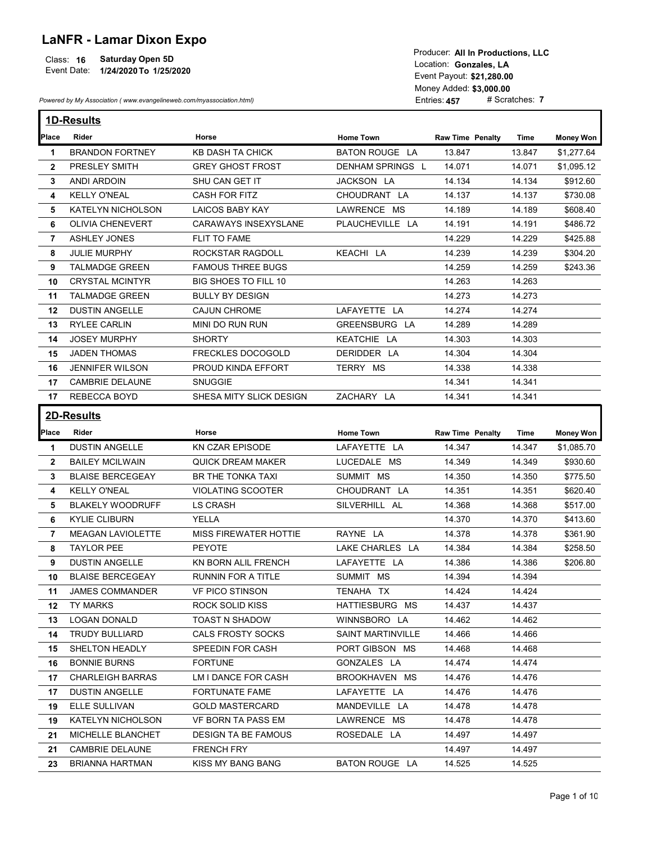## LaNFR - Lamar Dixon Expo

## Class: 16 Saturday Open 5D Sammen Class: 16 Saturday Open 5D Sammen Class of the Class of the Class of the Class of the Class of the Class of the Class of the Class of the Class of the Class of the Class of the Class of th

| <b>LaNFR - Lamar Dixon Expo</b><br><b>Saturday Open 5D</b><br>Class: 16<br>Event Date: 1/24/2020 To 1/25/2020 |                                                                      |                                              |                                          | Producer: All In Productions, LLC<br>Location: Gonzales, LA<br>Event Payout: \$21,280.00<br>Money Added: \$3,000.00 |                  |                      |
|---------------------------------------------------------------------------------------------------------------|----------------------------------------------------------------------|----------------------------------------------|------------------------------------------|---------------------------------------------------------------------------------------------------------------------|------------------|----------------------|
|                                                                                                               | Powered by My Association (www.evangelineweb.com/myassociation.html) |                                              |                                          | Entries: 457                                                                                                        | # Scratches: 7   |                      |
|                                                                                                               | 1D-Results                                                           |                                              |                                          |                                                                                                                     |                  |                      |
| Place                                                                                                         | Rider                                                                | Horse                                        | <b>Home Town</b>                         | <b>Raw Time Penalty</b>                                                                                             | Time             | <b>Money Won</b>     |
| 1.                                                                                                            | <b>BRANDON FORTNEY</b>                                               | <b>KB DASH TA CHICK</b>                      | <b>BATON ROUGE LA</b>                    | 13.847                                                                                                              | 13.847           | \$1,277.64           |
| $\mathbf{2}$                                                                                                  | PRESLEY SMITH                                                        | <b>GREY GHOST FROST</b>                      | DENHAM SPRINGS L                         | 14.071                                                                                                              | 14.071           | \$1,095.12           |
| 3                                                                                                             | <b>ANDI ARDOIN</b>                                                   | SHU CAN GET IT                               | JACKSON LA                               | 14.134                                                                                                              | 14.134           | \$912.60             |
| 4                                                                                                             | <b>KELLY O'NEAL</b>                                                  | <b>CASH FOR FITZ</b>                         | CHOUDRANT LA                             | 14.137                                                                                                              | 14.137           | \$730.08             |
| 5                                                                                                             | KATELYN NICHOLSON                                                    | <b>LAICOS BABY KAY</b>                       | LAWRENCE MS                              | 14.189                                                                                                              | 14.189           | \$608.40             |
| 6                                                                                                             | <b>OLIVIA CHENEVERT</b>                                              | <b>CARAWAYS INSEXYSLANE</b>                  | PLAUCHEVILLE LA                          | 14.191                                                                                                              | 14.191           | \$486.72             |
| $\overline{7}$                                                                                                | <b>ASHLEY JONES</b>                                                  | <b>FLIT TO FAME</b>                          |                                          | 14.229                                                                                                              | 14.229           | \$425.88             |
| 8<br>9                                                                                                        | <b>JULIE MURPHY</b><br><b>TALMADGE GREEN</b>                         | ROCKSTAR RAGDOLL<br><b>FAMOUS THREE BUGS</b> | KEACHI LA                                | 14.239<br>14.259                                                                                                    | 14.239<br>14.259 | \$304.20<br>\$243.36 |
|                                                                                                               | <b>CRYSTAL MCINTYR</b>                                               | BIG SHOES TO FILL 10                         |                                          | 14.263                                                                                                              | 14.263           |                      |
| 10                                                                                                            | <b>TALMADGE GREEN</b>                                                | <b>BULLY BY DESIGN</b>                       |                                          | 14.273                                                                                                              | 14.273           |                      |
| 11<br>12                                                                                                      | DUSTIN ANGELLE                                                       | <b>CAJUN CHROME</b>                          | LAFAYETTE LA                             | 14.274                                                                                                              | 14.274           |                      |
| 13                                                                                                            | <b>RYLEE CARLIN</b>                                                  | MINI DO RUN RUN                              | GREENSBURG LA                            | 14.289                                                                                                              | 14.289           |                      |
| 14                                                                                                            | <b>JOSEY MURPHY</b>                                                  | <b>SHORTY</b>                                | KEATCHIE LA                              | 14.303                                                                                                              | 14.303           |                      |
| 15                                                                                                            | <b>JADEN THOMAS</b>                                                  | <b>FRECKLES DOCOGOLD</b>                     | DERIDDER LA                              | 14.304                                                                                                              | 14.304           |                      |
| 16                                                                                                            | <b>JENNIFER WILSON</b>                                               | PROUD KINDA EFFORT                           | TERRY MS                                 | 14.338                                                                                                              | 14.338           |                      |
| 17                                                                                                            | <b>CAMBRIE DELAUNE</b>                                               | <b>SNUGGIE</b>                               |                                          | 14.341                                                                                                              | 14.341           |                      |
|                                                                                                               | 17 REBECCA BOYD                                                      | SHESA MITY SLICK DESIGN                      | ZACHARY LA                               | 14.341                                                                                                              | 14.341           |                      |
|                                                                                                               |                                                                      |                                              |                                          |                                                                                                                     |                  |                      |
|                                                                                                               | 2D-Results                                                           |                                              |                                          |                                                                                                                     |                  |                      |
| Place                                                                                                         | Rider                                                                | Horse                                        | <b>Home Town</b>                         | <b>Raw Time Penalty</b>                                                                                             | Time             | <b>Money Won</b>     |
| -1                                                                                                            | <b>DUSTIN ANGELLE</b>                                                | KN CZAR EPISODE                              | LAFAYETTE LA                             | 14.347                                                                                                              | 14.347           | \$1,085.70           |
| $\mathbf{2}$                                                                                                  | <b>BAILEY MCILWAIN</b>                                               | <b>QUICK DREAM MAKER</b>                     | LUCEDALE MS                              | 14.349                                                                                                              | 14.349           | \$930.60             |
| 3                                                                                                             | <b>BLAISE BERCEGEAY</b>                                              | BR THE TONKA TAXI                            | SUMMIT MS                                | 14.350                                                                                                              | 14.350           | \$775.50             |
| 4                                                                                                             | <b>KELLY O'NEAL</b>                                                  | <b>VIOLATING SCOOTER</b>                     | CHOUDRANT LA                             | 14.351                                                                                                              | 14.351           | \$620.40             |
| 5                                                                                                             | <b>BLAKELY WOODRUFF</b>                                              | LS CRASH                                     | SILVERHILL AL                            | 14.368                                                                                                              | 14.368           | \$517.00             |
| 6                                                                                                             | <b>KYLIE CLIBURN</b>                                                 | YELLA                                        |                                          | 14.370                                                                                                              | 14.370           | \$413.60             |
| 7                                                                                                             | <b>MEAGAN LAVIOLETTE</b>                                             | <b>MISS FIREWATER HOTTIE</b>                 | RAYNE LA                                 | 14.378                                                                                                              | 14.378           | \$361.90             |
| 8                                                                                                             | <b>TAYLOR PEE</b>                                                    | <b>PEYOTE</b>                                | LAKE CHARLES LA                          | 14.384                                                                                                              | 14.384           | \$258.50             |
| 9                                                                                                             | <b>DUSTIN ANGELLE</b>                                                | KN BORN ALIL FRENCH                          | LAFAYETTE LA                             | 14.386                                                                                                              | 14.386           | \$206.80             |
| 10                                                                                                            | <b>BLAISE BERCEGEAY</b>                                              | RUNNIN FOR A TITLE                           | SUMMIT MS                                | 14.394                                                                                                              | 14.394           |                      |
| 11                                                                                                            | <b>JAMES COMMANDER</b>                                               | <b>VF PICO STINSON</b>                       | TENAHA TX                                | 14.424                                                                                                              | 14.424           |                      |
| 12                                                                                                            | TY MARKS                                                             | ROCK SOLID KISS                              | HATTIESBURG MS                           | 14.437                                                                                                              | 14.437           |                      |
| 13                                                                                                            | <b>LOGAN DONALD</b><br>TRUDY BULLIARD                                | TOAST N SHADOW<br>CALS FROSTY SOCKS          | WINNSBORO LA<br><b>SAINT MARTINVILLE</b> | 14.462<br>14.466                                                                                                    | 14.462<br>14.466 |                      |
| 14                                                                                                            | SHELTON HEADLY                                                       | SPEEDIN FOR CASH                             | PORT GIBSON MS                           | 14.468                                                                                                              | 14.468           |                      |
| 15                                                                                                            | <b>BONNIE BURNS</b>                                                  | <b>FORTUNE</b>                               | GONZALES LA                              | 14.474                                                                                                              | 14.474           |                      |
| 16.                                                                                                           | <b>CHARLEIGH BARRAS</b>                                              | LM I DANCE FOR CASH                          | BROOKHAVEN MS                            | 14.476                                                                                                              | 14.476           |                      |
|                                                                                                               | <b>DUSTIN ANGELLE</b>                                                | FORTUNATE FAME                               | LAFAYETTE LA                             | 14.476                                                                                                              | 14.476           |                      |
| 17                                                                                                            |                                                                      |                                              |                                          |                                                                                                                     |                  |                      |
| 17                                                                                                            |                                                                      |                                              |                                          |                                                                                                                     |                  |                      |
| 19                                                                                                            | ELLE SULLIVAN                                                        | <b>GOLD MASTERCARD</b>                       | MANDEVILLE LA                            | 14.478                                                                                                              | 14.478           |                      |
| 19                                                                                                            | <b>KATELYN NICHOLSON</b>                                             | <b>VF BORN TA PASS EM</b>                    | LAWRENCE MS                              | 14.478                                                                                                              | 14.478           |                      |
| 21                                                                                                            | MICHELLE BLANCHET                                                    | <b>DESIGN TA BE FAMOUS</b>                   | ROSEDALE LA                              | 14.497                                                                                                              | 14.497           |                      |
| 21<br>23                                                                                                      | CAMBRIE DELAUNE<br>BRIANNA HARTMAN                                   | <b>FRENCH FRY</b><br>KISS MY BANG BANG       | BATON ROUGE LA                           | 14.497<br>14.525                                                                                                    | 14.497<br>14.525 |                      |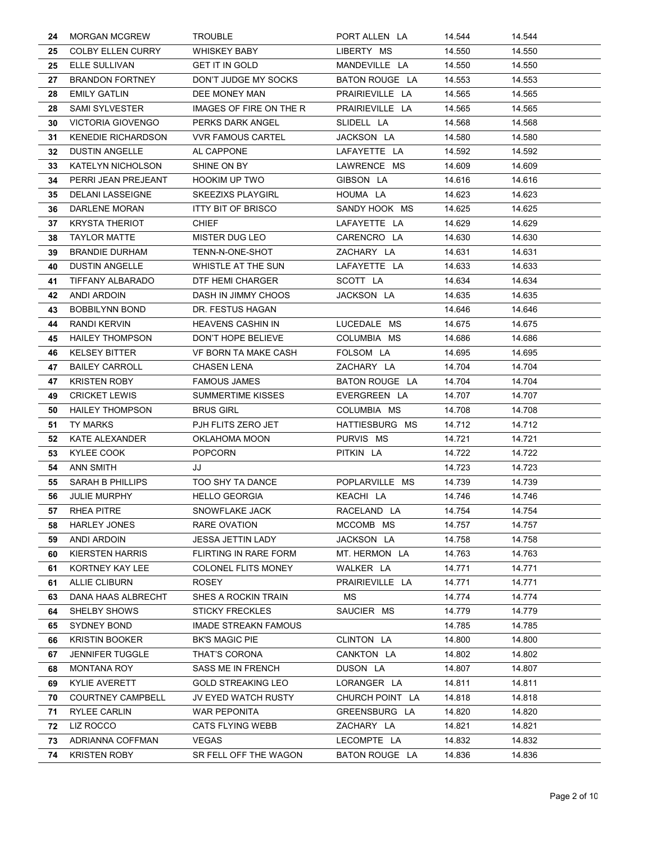| 24 | <b>MORGAN MCGREW</b>      | <b>TROUBLE</b>               | PORT ALLEN LA   | 14.544 | 14.544 |
|----|---------------------------|------------------------------|-----------------|--------|--------|
| 25 | <b>COLBY ELLEN CURRY</b>  | <b>WHISKEY BABY</b>          | LIBERTY MS      | 14.550 | 14.550 |
| 25 | ELLE SULLIVAN             | <b>GET IT IN GOLD</b>        | MANDEVILLE LA   | 14.550 | 14.550 |
| 27 | <b>BRANDON FORTNEY</b>    | DON'T JUDGE MY SOCKS         | BATON ROUGE LA  | 14.553 | 14.553 |
| 28 | <b>EMILY GATLIN</b>       | DEE MONEY MAN                | PRAIRIEVILLE LA | 14.565 | 14.565 |
| 28 | <b>SAMI SYLVESTER</b>     | IMAGES OF FIRE ON THE R      | PRAIRIEVILLE LA | 14.565 | 14.565 |
| 30 | <b>VICTORIA GIOVENGO</b>  | PERKS DARK ANGEL             | SLIDELL LA      | 14.568 | 14.568 |
| 31 | <b>KENEDIE RICHARDSON</b> | <b>VVR FAMOUS CARTEL</b>     | JACKSON LA      | 14.580 | 14.580 |
| 32 | <b>DUSTIN ANGELLE</b>     | AL CAPPONE                   | LAFAYETTE LA    | 14.592 | 14.592 |
| 33 | <b>KATELYN NICHOLSON</b>  | SHINE ON BY                  | LAWRENCE MS     | 14.609 | 14.609 |
| 34 | PERRI JEAN PREJEANT       | <b>HOOKIM UP TWO</b>         | GIBSON LA       | 14.616 | 14.616 |
| 35 | <b>DELANI LASSEIGNE</b>   | <b>SKEEZIXS PLAYGIRL</b>     | HOUMA LA        | 14.623 | 14.623 |
| 36 | DARLENE MORAN             | <b>ITTY BIT OF BRISCO</b>    | SANDY HOOK MS   | 14.625 | 14.625 |
| 37 | <b>KRYSTA THERIOT</b>     | <b>CHIEF</b>                 | LAFAYETTE LA    | 14.629 | 14.629 |
| 38 | <b>TAYLOR MATTE</b>       | MISTER DUG LEO               | CARENCRO LA     | 14.630 | 14.630 |
| 39 | <b>BRANDIE DURHAM</b>     | TENN-N-ONE-SHOT              | ZACHARY LA      | 14.631 | 14.631 |
| 40 | <b>DUSTIN ANGELLE</b>     | WHISTLE AT THE SUN           | LAFAYETTE LA    | 14.633 | 14.633 |
| 41 | TIFFANY ALBARADO          | DTF HEMI CHARGER             | SCOTT LA        | 14.634 | 14.634 |
| 42 | ANDI ARDOIN               | DASH IN JIMMY CHOOS          | JACKSON LA      | 14.635 | 14.635 |
| 43 | <b>BOBBILYNN BOND</b>     | DR. FESTUS HAGAN             |                 | 14.646 | 14.646 |
| 44 | RANDI KERVIN              | HEAVENS CASHIN IN            | LUCEDALE MS     | 14.675 | 14.675 |
| 45 | <b>HAILEY THOMPSON</b>    | DON'T HOPE BELIEVE           | COLUMBIA MS     | 14.686 | 14.686 |
| 46 | <b>KELSEY BITTER</b>      | VF BORN TA MAKE CASH         | FOLSOM LA       | 14.695 | 14.695 |
| 47 | <b>BAILEY CARROLL</b>     | CHASEN LENA                  | ZACHARY LA      | 14.704 | 14.704 |
| 47 | <b>KRISTEN ROBY</b>       | <b>FAMOUS JAMES</b>          | BATON ROUGE LA  | 14.704 | 14.704 |
| 49 | <b>CRICKET LEWIS</b>      | <b>SUMMERTIME KISSES</b>     | EVERGREEN LA    | 14.707 | 14.707 |
| 50 | <b>HAILEY THOMPSON</b>    | BRUS GIRL                    | COLUMBIA MS     | 14.708 | 14.708 |
| 51 | TY MARKS                  | PJH FLITS ZERO JET           | HATTIESBURG MS  | 14.712 | 14.712 |
| 52 | KATE ALEXANDER            | OKLAHOMA MOON                | PURVIS MS       | 14.721 | 14.721 |
| 53 | KYLEE COOK                | <b>POPCORN</b>               | PITKIN LA       | 14.722 | 14.722 |
| 54 | ANN SMITH                 | JJ                           |                 | 14.723 | 14.723 |
| 55 | <b>SARAH B PHILLIPS</b>   | TOO SHY TA DANCE             | POPLARVILLE MS  | 14.739 | 14.739 |
| 56 | <b>JULIE MURPHY</b>       | <b>HELLO GEORGIA</b>         | KEACHI LA       | 14.746 | 14.746 |
| 57 | RHEA PITRE                | SNOWFLAKE JACK               | RACELAND LA     | 14.754 | 14.754 |
| 58 | <b>HARLEY JONES</b>       | RARE OVATION                 | MCCOMB MS       | 14.757 | 14.757 |
| 59 | <b>ANDI ARDOIN</b>        | <b>JESSA JETTIN LADY</b>     | JACKSON LA      | 14.758 | 14.758 |
| 60 | <b>KIERSTEN HARRIS</b>    | <b>FLIRTING IN RARE FORM</b> | MT. HERMON LA   | 14.763 | 14.763 |
| 61 | KORTNEY KAY LEE           | <b>COLONEL FLITS MONEY</b>   | WALKER LA       | 14.771 | 14.771 |
| 61 | <b>ALLIE CLIBURN</b>      | <b>ROSEY</b>                 | PRAIRIEVILLE LA | 14.771 | 14.771 |
| 63 | <b>DANA HAAS ALBRECHT</b> | SHES A ROCKIN TRAIN          | <b>MS</b>       | 14.774 | 14.774 |
| 64 | SHELBY SHOWS              | <b>STICKY FRECKLES</b>       | SAUCIER MS      | 14.779 | 14.779 |
| 65 | <b>SYDNEY BOND</b>        | <b>IMADE STREAKN FAMOUS</b>  |                 | 14.785 | 14.785 |
| 66 | <b>KRISTIN BOOKER</b>     | <b>BK'S MAGIC PIE</b>        | CLINTON LA      | 14.800 | 14.800 |
| 67 | <b>JENNIFER TUGGLE</b>    | THAT'S CORONA                | CANKTON LA      | 14.802 | 14.802 |
| 68 | <b>MONTANA ROY</b>        | SASS ME IN FRENCH            | DUSON LA        | 14.807 | 14.807 |
| 69 | <b>KYLIE AVERETT</b>      | <b>GOLD STREAKING LEO</b>    | LORANGER LA     | 14.811 | 14.811 |
| 70 | <b>COURTNEY CAMPBELL</b>  | JV EYED WATCH RUSTY          | CHURCH POINT LA | 14.818 | 14.818 |
| 71 | RYLEE CARLIN              | <b>WAR PEPONITA</b>          | GREENSBURG LA   | 14.820 | 14.820 |
| 72 | LIZ ROCCO                 | CATS FLYING WEBB             | ZACHARY LA      | 14.821 | 14.821 |
| 73 | ADRIANNA COFFMAN          | <b>VEGAS</b>                 | LECOMPTE LA     | 14.832 | 14.832 |
| 74 | <b>KRISTEN ROBY</b>       | SR FELL OFF THE WAGON        | BATON ROUGE LA  | 14.836 | 14.836 |
|    |                           |                              |                 |        |        |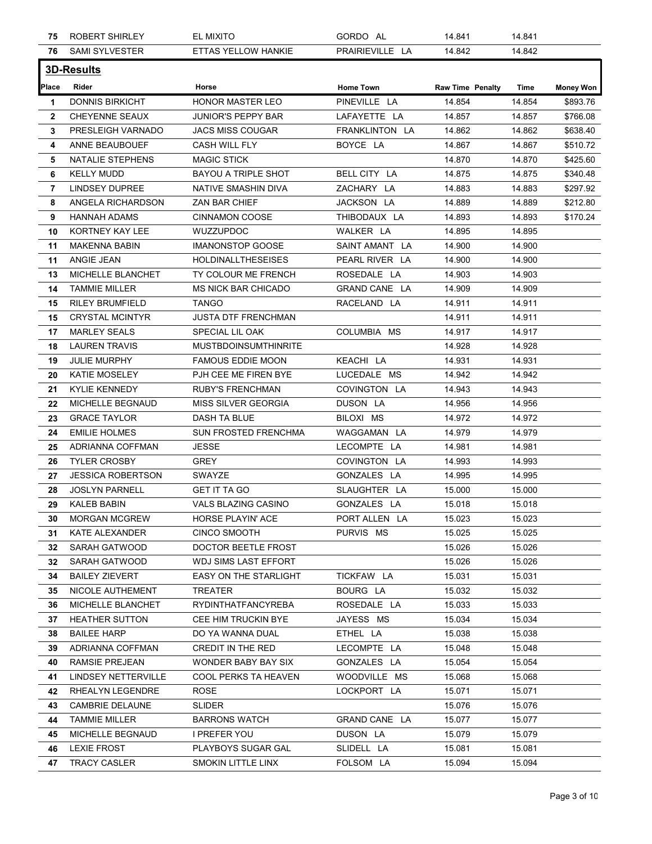| 75           | <b>ROBERT SHIRLEY</b>    | EL MIXITO                   | GORDO AL         | 14.841                  | 14.841 |           |
|--------------|--------------------------|-----------------------------|------------------|-------------------------|--------|-----------|
| 76           | SAMI SYLVESTER           | ETTAS YELLOW HANKIE         | PRAIRIEVILLE LA  | 14.842                  | 14.842 |           |
|              | <b>3D-Results</b>        |                             |                  |                         |        |           |
| Place        | Rider                    | Horse                       | <b>Home Town</b> | <b>Raw Time Penalty</b> | Time   | Money Won |
| -1           | <b>DONNIS BIRKICHT</b>   | <b>HONOR MASTER LEO</b>     | PINEVILLE LA     | 14.854                  | 14.854 | \$893.76  |
| $\mathbf{2}$ | <b>CHEYENNE SEAUX</b>    | JUNIOR'S PEPPY BAR          | LAFAYETTE LA     | 14.857                  | 14.857 | \$766.08  |
| 3            | PRESLEIGH VARNADO        | <b>JACS MISS COUGAR</b>     | FRANKLINTON LA   | 14.862                  | 14.862 | \$638.40  |
| 4            | ANNE BEAUBOUEF           | CASH WILL FLY               | BOYCE LA         | 14.867                  | 14.867 | \$510.72  |
| 5            | NATALIE STEPHENS         | <b>MAGIC STICK</b>          |                  | 14.870                  | 14.870 | \$425.60  |
| 6            | <b>KELLY MUDD</b>        | <b>BAYOU A TRIPLE SHOT</b>  | BELL CITY LA     | 14.875                  | 14.875 | \$340.48  |
| 7            | <b>LINDSEY DUPREE</b>    | NATIVE SMASHIN DIVA         | ZACHARY LA       | 14.883                  | 14.883 | \$297.92  |
| 8            | ANGELA RICHARDSON        | ZAN BAR CHIEF               | JACKSON LA       | 14.889                  | 14.889 | \$212.80  |
| 9            | <b>HANNAH ADAMS</b>      | CINNAMON COOSE              | THIBODAUX LA     | 14.893                  | 14.893 | \$170.24  |
| 10           | KORTNEY KAY LEE          | WUZZUPDOC                   | WALKER LA        | 14.895                  | 14.895 |           |
| 11           | <b>MAKENNA BABIN</b>     | <b>IMANONSTOP GOOSE</b>     | SAINT AMANT LA   | 14.900                  | 14.900 |           |
| 11           | ANGIE JEAN               | <b>HOLDINALLTHESEISES</b>   | PEARL RIVER LA   | 14.900                  | 14.900 |           |
| 13           | MICHELLE BLANCHET        | TY COLOUR ME FRENCH         | ROSEDALE LA      | 14.903                  | 14.903 |           |
| 14           | <b>TAMMIE MILLER</b>     | <b>MS NICK BAR CHICADO</b>  | GRAND CANE LA    | 14.909                  | 14.909 |           |
| 15           | <b>RILEY BRUMFIELD</b>   | TANGO                       | RACELAND LA      | 14.911                  | 14.911 |           |
| 15           | <b>CRYSTAL MCINTYR</b>   | JUSTA DTF FRENCHMAN         |                  | 14.911                  | 14.911 |           |
| 17           | <b>MARLEY SEALS</b>      | SPECIAL LIL OAK             | COLUMBIA MS      | 14.917                  | 14.917 |           |
| 18           | <b>LAUREN TRAVIS</b>     | <b>MUSTBDOINSUMTHINRITE</b> |                  | 14.928                  | 14.928 |           |
| 19           | <b>JULIE MURPHY</b>      | <b>FAMOUS EDDIE MOON</b>    | KEACHI LA        | 14.931                  | 14.931 |           |
| 20           | <b>KATIE MOSELEY</b>     | PJH CEE ME FIREN BYE        | LUCEDALE MS      | 14.942                  | 14.942 |           |
| 21           | <b>KYLIE KENNEDY</b>     | <b>RUBY'S FRENCHMAN</b>     | COVINGTON LA     | 14.943                  | 14.943 |           |
| 22           | MICHELLE BEGNAUD         | MISS SILVER GEORGIA         | DUSON LA         | 14.956                  | 14.956 |           |
| 23           | <b>GRACE TAYLOR</b>      | DASH TA BLUE                | BILOXI MS        | 14.972                  | 14.972 |           |
| 24           | <b>EMILIE HOLMES</b>     | <b>SUN FROSTED FRENCHMA</b> | WAGGAMAN LA      | 14.979                  | 14.979 |           |
| 25           | ADRIANNA COFFMAN         | JESSE                       | LECOMPTE LA      | 14.981                  | 14.981 |           |
| 26           | <b>TYLER CROSBY</b>      | GREY                        | COVINGTON LA     | 14.993                  | 14.993 |           |
| 27           | <b>JESSICA ROBERTSON</b> | SWAYZE                      | GONZALES LA      | 14.995                  | 14.995 |           |
| 28           | <b>JOSLYN PARNELL</b>    | <b>GET IT TA GO</b>         | SLAUGHTER LA     | 15.000                  | 15.000 |           |
| 29           | KALEB BABIN              | VALS BLAZING CASINO         | GONZALES LA      | 15.018                  | 15.018 |           |
| 30           | <b>MORGAN MCGREW</b>     | HORSE PLAYIN' ACE           | PORT ALLEN LA    | 15.023                  | 15.023 |           |
| 31           | KATE ALEXANDER           | <b>CINCO SMOOTH</b>         | PURVIS MS        | 15.025                  | 15.025 |           |
| 32           | SARAH GATWOOD            | DOCTOR BEETLE FROST         |                  | 15.026                  | 15.026 |           |
| 32           | SARAH GATWOOD            | <b>WDJ SIMS LAST EFFORT</b> |                  | 15.026                  | 15.026 |           |
| 34           | <b>BAILEY ZIEVERT</b>    | EASY ON THE STARLIGHT       | TICKFAW LA       | 15.031                  | 15.031 |           |
| 35           | NICOLE AUTHEMENT         | TREATER                     | BOURG LA         | 15.032                  | 15.032 |           |
| 36           | MICHELLE BLANCHET        | RYDINTHATFANCYREBA          | ROSEDALE LA      | 15.033                  | 15.033 |           |
| 37           | <b>HEATHER SUTTON</b>    | CEE HIM TRUCKIN BYE         | JAYESS MS        | 15.034                  | 15.034 |           |
| 38           | <b>BAILEE HARP</b>       | DO YA WANNA DUAL            | ETHEL LA         | 15.038                  | 15.038 |           |
| 39           | ADRIANNA COFFMAN         | CREDIT IN THE RED           | LECOMPTE LA      | 15.048                  | 15.048 |           |
| 40           | RAMSIE PREJEAN           | WONDER BABY BAY SIX         | GONZALES LA      | 15.054                  | 15.054 |           |
| 41           | LINDSEY NETTERVILLE      | COOL PERKS TA HEAVEN        | WOODVILLE MS     | 15.068                  | 15.068 |           |
| 42           | RHEALYN LEGENDRE         | ROSE                        | LOCKPORT LA      | 15.071                  | 15.071 |           |
| 43           | CAMBRIE DELAUNE          | <b>SLIDER</b>               |                  | 15.076                  | 15.076 |           |
| 44           | <b>TAMMIE MILLER</b>     | <b>BARRONS WATCH</b>        | GRAND CANE LA    | 15.077                  | 15.077 |           |
| 45           | MICHELLE BEGNAUD         | I PREFER YOU                | DUSON LA         | 15.079                  | 15.079 |           |
| 46           | <b>LEXIE FROST</b>       | PLAYBOYS SUGAR GAL          | SLIDELL LA       | 15.081                  | 15.081 |           |
| 47           | TRACY CASLER             | SMOKIN LITTLE LINX          | FOLSOM LA        | 15.094                  | 15.094 |           |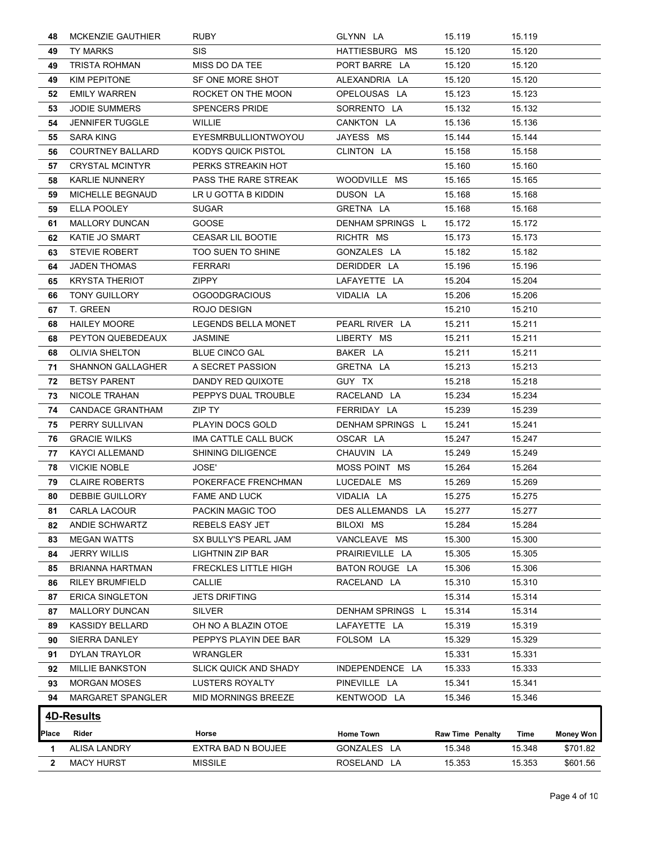| TY MARKS<br>49<br><b>TRISTA ROHMAN</b><br><b>KIM PEPITONE</b><br><b>EMILY WARREN</b><br><b>JODIE SUMMERS</b><br><b>JENNIFER TUGGLE</b><br>SARA KING<br><b>COURTNEY BALLARD</b><br><b>CRYSTAL MCINTYR</b><br><b>KARLIE NUNNERY</b><br><b>MICHELLE BEGNAUD</b><br>ELLA POOLEY<br><b>MALLORY DUNCAN</b><br>KATIE JO SMART<br>62.<br><b>STEVIE ROBERT</b><br><b>JADEN THOMAS</b><br><b>KRYSTA THERIOT</b><br><b>TONY GUILLORY</b><br>67 T. GREEN<br><b>HAILEY MOORE</b> | <b>SIS</b><br>MISS DO DA TEE<br>SF ONE MORE SHOT<br>ROCKET ON THE MOON<br><b>SPENCERS PRIDE</b><br>WILLIE<br>EYESMRBULLIONTWOYOU<br>KODYS QUICK PISTOL<br>PERKS STREAKIN HOT<br>PASS THE RARE STREAK<br>LR U GOTTA B KIDDIN<br><b>SUGAR</b><br><b>GOOSE</b><br><b>CEASAR LIL BOOTIE</b><br>TOO SUEN TO SHINE<br><b>FERRARI</b><br><b>ZIPPY</b><br><b>OGOODGRACIOUS</b> | HATTIESBURG MS<br>PORT BARRE LA<br>ALEXANDRIA LA<br>OPELOUSAS LA<br>SORRENTO LA<br>CANKTON LA<br>JAYESS MS<br>CLINTON LA<br>WOODVILLE MS<br>DUSON LA<br>GRETNA LA<br>DENHAM SPRINGS L<br>RICHTR MS<br>GONZALES LA<br>DERIDDER LA | 15.120<br>15.120<br>15.120<br>15.123<br>15.132<br>15.136<br>15.144<br>15.158<br>15.160<br>15.165<br>15.168<br>15.168<br>15.172<br>15.173<br>15.182 | 15.120<br>15.120<br>15.120<br>15.123<br>15.132<br>15.136<br>15.144<br>15.158<br>15.160<br>15.165<br>15.168<br>15.168<br>15.172 |                                                          |
|---------------------------------------------------------------------------------------------------------------------------------------------------------------------------------------------------------------------------------------------------------------------------------------------------------------------------------------------------------------------------------------------------------------------------------------------------------------------|------------------------------------------------------------------------------------------------------------------------------------------------------------------------------------------------------------------------------------------------------------------------------------------------------------------------------------------------------------------------|----------------------------------------------------------------------------------------------------------------------------------------------------------------------------------------------------------------------------------|----------------------------------------------------------------------------------------------------------------------------------------------------|--------------------------------------------------------------------------------------------------------------------------------|----------------------------------------------------------|
|                                                                                                                                                                                                                                                                                                                                                                                                                                                                     |                                                                                                                                                                                                                                                                                                                                                                        |                                                                                                                                                                                                                                  |                                                                                                                                                    |                                                                                                                                |                                                          |
|                                                                                                                                                                                                                                                                                                                                                                                                                                                                     |                                                                                                                                                                                                                                                                                                                                                                        |                                                                                                                                                                                                                                  |                                                                                                                                                    |                                                                                                                                |                                                          |
|                                                                                                                                                                                                                                                                                                                                                                                                                                                                     |                                                                                                                                                                                                                                                                                                                                                                        |                                                                                                                                                                                                                                  |                                                                                                                                                    |                                                                                                                                |                                                          |
|                                                                                                                                                                                                                                                                                                                                                                                                                                                                     |                                                                                                                                                                                                                                                                                                                                                                        |                                                                                                                                                                                                                                  |                                                                                                                                                    |                                                                                                                                |                                                          |
|                                                                                                                                                                                                                                                                                                                                                                                                                                                                     |                                                                                                                                                                                                                                                                                                                                                                        |                                                                                                                                                                                                                                  |                                                                                                                                                    |                                                                                                                                |                                                          |
|                                                                                                                                                                                                                                                                                                                                                                                                                                                                     |                                                                                                                                                                                                                                                                                                                                                                        |                                                                                                                                                                                                                                  |                                                                                                                                                    |                                                                                                                                |                                                          |
|                                                                                                                                                                                                                                                                                                                                                                                                                                                                     |                                                                                                                                                                                                                                                                                                                                                                        |                                                                                                                                                                                                                                  |                                                                                                                                                    |                                                                                                                                |                                                          |
|                                                                                                                                                                                                                                                                                                                                                                                                                                                                     |                                                                                                                                                                                                                                                                                                                                                                        |                                                                                                                                                                                                                                  |                                                                                                                                                    |                                                                                                                                |                                                          |
|                                                                                                                                                                                                                                                                                                                                                                                                                                                                     |                                                                                                                                                                                                                                                                                                                                                                        |                                                                                                                                                                                                                                  |                                                                                                                                                    |                                                                                                                                |                                                          |
|                                                                                                                                                                                                                                                                                                                                                                                                                                                                     |                                                                                                                                                                                                                                                                                                                                                                        |                                                                                                                                                                                                                                  |                                                                                                                                                    |                                                                                                                                |                                                          |
|                                                                                                                                                                                                                                                                                                                                                                                                                                                                     |                                                                                                                                                                                                                                                                                                                                                                        |                                                                                                                                                                                                                                  |                                                                                                                                                    |                                                                                                                                |                                                          |
|                                                                                                                                                                                                                                                                                                                                                                                                                                                                     |                                                                                                                                                                                                                                                                                                                                                                        |                                                                                                                                                                                                                                  |                                                                                                                                                    |                                                                                                                                |                                                          |
|                                                                                                                                                                                                                                                                                                                                                                                                                                                                     |                                                                                                                                                                                                                                                                                                                                                                        |                                                                                                                                                                                                                                  |                                                                                                                                                    |                                                                                                                                |                                                          |
|                                                                                                                                                                                                                                                                                                                                                                                                                                                                     |                                                                                                                                                                                                                                                                                                                                                                        |                                                                                                                                                                                                                                  |                                                                                                                                                    | 15.173                                                                                                                         |                                                          |
|                                                                                                                                                                                                                                                                                                                                                                                                                                                                     |                                                                                                                                                                                                                                                                                                                                                                        |                                                                                                                                                                                                                                  |                                                                                                                                                    | 15.182                                                                                                                         |                                                          |
|                                                                                                                                                                                                                                                                                                                                                                                                                                                                     |                                                                                                                                                                                                                                                                                                                                                                        |                                                                                                                                                                                                                                  | 15.196                                                                                                                                             | 15.196                                                                                                                         |                                                          |
|                                                                                                                                                                                                                                                                                                                                                                                                                                                                     |                                                                                                                                                                                                                                                                                                                                                                        |                                                                                                                                                                                                                                  | 15.204                                                                                                                                             | 15.204                                                                                                                         |                                                          |
|                                                                                                                                                                                                                                                                                                                                                                                                                                                                     |                                                                                                                                                                                                                                                                                                                                                                        | LAFAYETTE LA                                                                                                                                                                                                                     |                                                                                                                                                    |                                                                                                                                |                                                          |
|                                                                                                                                                                                                                                                                                                                                                                                                                                                                     |                                                                                                                                                                                                                                                                                                                                                                        | VIDALIA LA                                                                                                                                                                                                                       | 15.206                                                                                                                                             | 15.206                                                                                                                         |                                                          |
|                                                                                                                                                                                                                                                                                                                                                                                                                                                                     | ROJO DESIGN                                                                                                                                                                                                                                                                                                                                                            |                                                                                                                                                                                                                                  | 15.210                                                                                                                                             | 15.210                                                                                                                         |                                                          |
|                                                                                                                                                                                                                                                                                                                                                                                                                                                                     | LEGENDS BELLA MONET                                                                                                                                                                                                                                                                                                                                                    | PEARL RIVER LA                                                                                                                                                                                                                   | 15.211                                                                                                                                             | 15.211                                                                                                                         |                                                          |
| PEYTON QUEBEDEAUX                                                                                                                                                                                                                                                                                                                                                                                                                                                   | <b>JASMINE</b>                                                                                                                                                                                                                                                                                                                                                         | LIBERTY MS                                                                                                                                                                                                                       | 15.211                                                                                                                                             | 15.211                                                                                                                         |                                                          |
| <b>OLIVIA SHELTON</b>                                                                                                                                                                                                                                                                                                                                                                                                                                               | <b>BLUE CINCO GAL</b>                                                                                                                                                                                                                                                                                                                                                  | BAKER LA                                                                                                                                                                                                                         | 15.211                                                                                                                                             | 15.211                                                                                                                         |                                                          |
| <b>SHANNON GALLAGHER</b>                                                                                                                                                                                                                                                                                                                                                                                                                                            | A SECRET PASSION                                                                                                                                                                                                                                                                                                                                                       | GRETNA LA                                                                                                                                                                                                                        | 15.213                                                                                                                                             | 15.213                                                                                                                         |                                                          |
| <b>BETSY PARENT</b>                                                                                                                                                                                                                                                                                                                                                                                                                                                 | DANDY RED QUIXOTE                                                                                                                                                                                                                                                                                                                                                      | GUY TX                                                                                                                                                                                                                           | 15.218                                                                                                                                             | 15.218                                                                                                                         |                                                          |
| NICOLE TRAHAN<br>73.                                                                                                                                                                                                                                                                                                                                                                                                                                                | PEPPYS DUAL TROUBLE                                                                                                                                                                                                                                                                                                                                                    | RACELAND LA                                                                                                                                                                                                                      | 15.234                                                                                                                                             | 15.234                                                                                                                         |                                                          |
| <b>CANDACE GRANTHAM</b><br>74                                                                                                                                                                                                                                                                                                                                                                                                                                       | ZIP TY                                                                                                                                                                                                                                                                                                                                                                 | FERRIDAY LA                                                                                                                                                                                                                      | 15.239                                                                                                                                             | 15.239                                                                                                                         |                                                          |
| PERRY SULLIVAN<br>75                                                                                                                                                                                                                                                                                                                                                                                                                                                | PLAYIN DOCS GOLD                                                                                                                                                                                                                                                                                                                                                       | DENHAM SPRINGS L                                                                                                                                                                                                                 | 15.241                                                                                                                                             | 15.241                                                                                                                         |                                                          |
| <b>GRACIE WILKS</b>                                                                                                                                                                                                                                                                                                                                                                                                                                                 | IMA CATTLE CALL BUCK                                                                                                                                                                                                                                                                                                                                                   | OSCAR LA                                                                                                                                                                                                                         | 15.247                                                                                                                                             | 15.247                                                                                                                         |                                                          |
| KAYCI ALLEMAND<br>77                                                                                                                                                                                                                                                                                                                                                                                                                                                | <b>SHINING DILIGENCE</b>                                                                                                                                                                                                                                                                                                                                               | CHAUVIN LA                                                                                                                                                                                                                       | 15.249                                                                                                                                             | 15.249                                                                                                                         |                                                          |
| <b>VICKIE NOBLE</b><br>78                                                                                                                                                                                                                                                                                                                                                                                                                                           | <b>JOSE'</b>                                                                                                                                                                                                                                                                                                                                                           | MOSS POINT MS                                                                                                                                                                                                                    | 15.264                                                                                                                                             | 15.264                                                                                                                         |                                                          |
| <b>CLAIRE ROBERTS</b><br>79                                                                                                                                                                                                                                                                                                                                                                                                                                         | POKERFACE FRENCHMAN                                                                                                                                                                                                                                                                                                                                                    | LUCEDALE MS                                                                                                                                                                                                                      | 15.269                                                                                                                                             | 15.269                                                                                                                         |                                                          |
| <b>DEBBIE GUILLORY</b><br>80.                                                                                                                                                                                                                                                                                                                                                                                                                                       | <b>FAME AND LUCK</b>                                                                                                                                                                                                                                                                                                                                                   | VIDALIA LA                                                                                                                                                                                                                       | 15.275                                                                                                                                             | 15.275                                                                                                                         |                                                          |
| 81 CARLA LACOUR                                                                                                                                                                                                                                                                                                                                                                                                                                                     | PACKIN MAGIC TOO                                                                                                                                                                                                                                                                                                                                                       | DES ALLEMANDS LA                                                                                                                                                                                                                 | 15.277                                                                                                                                             | 15.277                                                                                                                         |                                                          |
| ANDIE SCHWARTZ                                                                                                                                                                                                                                                                                                                                                                                                                                                      | REBELS EASY JET                                                                                                                                                                                                                                                                                                                                                        | BILOXI MS                                                                                                                                                                                                                        | 15.284                                                                                                                                             | 15.284                                                                                                                         |                                                          |
| <b>MEGAN WATTS</b>                                                                                                                                                                                                                                                                                                                                                                                                                                                  | SX BULLY'S PEARL JAM                                                                                                                                                                                                                                                                                                                                                   | VANCLEAVE MS                                                                                                                                                                                                                     | 15.300                                                                                                                                             | 15.300                                                                                                                         |                                                          |
|                                                                                                                                                                                                                                                                                                                                                                                                                                                                     |                                                                                                                                                                                                                                                                                                                                                                        |                                                                                                                                                                                                                                  |                                                                                                                                                    |                                                                                                                                |                                                          |
|                                                                                                                                                                                                                                                                                                                                                                                                                                                                     |                                                                                                                                                                                                                                                                                                                                                                        |                                                                                                                                                                                                                                  |                                                                                                                                                    |                                                                                                                                |                                                          |
|                                                                                                                                                                                                                                                                                                                                                                                                                                                                     |                                                                                                                                                                                                                                                                                                                                                                        |                                                                                                                                                                                                                                  |                                                                                                                                                    |                                                                                                                                |                                                          |
|                                                                                                                                                                                                                                                                                                                                                                                                                                                                     |                                                                                                                                                                                                                                                                                                                                                                        |                                                                                                                                                                                                                                  |                                                                                                                                                    |                                                                                                                                |                                                          |
|                                                                                                                                                                                                                                                                                                                                                                                                                                                                     |                                                                                                                                                                                                                                                                                                                                                                        |                                                                                                                                                                                                                                  |                                                                                                                                                    |                                                                                                                                |                                                          |
|                                                                                                                                                                                                                                                                                                                                                                                                                                                                     |                                                                                                                                                                                                                                                                                                                                                                        |                                                                                                                                                                                                                                  |                                                                                                                                                    |                                                                                                                                |                                                          |
|                                                                                                                                                                                                                                                                                                                                                                                                                                                                     |                                                                                                                                                                                                                                                                                                                                                                        |                                                                                                                                                                                                                                  |                                                                                                                                                    | 15.319                                                                                                                         |                                                          |
| SIERRA DANLEY                                                                                                                                                                                                                                                                                                                                                                                                                                                       | PEPPYS PLAYIN DEE BAR                                                                                                                                                                                                                                                                                                                                                  | FOLSOM LA                                                                                                                                                                                                                        |                                                                                                                                                    | 15.329                                                                                                                         |                                                          |
| DYLAN TRAYLOR                                                                                                                                                                                                                                                                                                                                                                                                                                                       | WRANGLER                                                                                                                                                                                                                                                                                                                                                               |                                                                                                                                                                                                                                  | 15.331                                                                                                                                             | 15.331                                                                                                                         |                                                          |
| <b>MILLIE BANKSTON</b>                                                                                                                                                                                                                                                                                                                                                                                                                                              | <b>SLICK QUICK AND SHADY</b>                                                                                                                                                                                                                                                                                                                                           | INDEPENDENCE LA                                                                                                                                                                                                                  | 15.333                                                                                                                                             | 15.333                                                                                                                         |                                                          |
| <b>MORGAN MOSES</b>                                                                                                                                                                                                                                                                                                                                                                                                                                                 | <b>LUSTERS ROYALTY</b>                                                                                                                                                                                                                                                                                                                                                 | PINEVILLE LA                                                                                                                                                                                                                     | 15.341                                                                                                                                             | 15.341                                                                                                                         |                                                          |
| MARGARET SPANGLER<br>94                                                                                                                                                                                                                                                                                                                                                                                                                                             | MID MORNINGS BREEZE                                                                                                                                                                                                                                                                                                                                                    | KENTWOOD LA                                                                                                                                                                                                                      | 15.346                                                                                                                                             | 15.346                                                                                                                         |                                                          |
| <b>4D-Results</b>                                                                                                                                                                                                                                                                                                                                                                                                                                                   |                                                                                                                                                                                                                                                                                                                                                                        |                                                                                                                                                                                                                                  |                                                                                                                                                    |                                                                                                                                |                                                          |
|                                                                                                                                                                                                                                                                                                                                                                                                                                                                     | Horse                                                                                                                                                                                                                                                                                                                                                                  | <b>Home Town</b>                                                                                                                                                                                                                 | <b>Raw Time Penalty</b>                                                                                                                            | Time                                                                                                                           | <b>Money Won</b>                                         |
| Rider                                                                                                                                                                                                                                                                                                                                                                                                                                                               | EXTRA BAD N BOUJEE                                                                                                                                                                                                                                                                                                                                                     | GONZALES LA                                                                                                                                                                                                                      | 15.348                                                                                                                                             | 15.348                                                                                                                         | \$701.82                                                 |
| <b>ALISA LANDRY</b>                                                                                                                                                                                                                                                                                                                                                                                                                                                 |                                                                                                                                                                                                                                                                                                                                                                        |                                                                                                                                                                                                                                  |                                                                                                                                                    |                                                                                                                                | \$601.56                                                 |
|                                                                                                                                                                                                                                                                                                                                                                                                                                                                     | <b>JERRY WILLIS</b><br><b>BRIANNA HARTMAN</b><br><b>RILEY BRUMFIELD</b><br><b>ERICA SINGLETON</b><br>MALLORY DUNCAN<br><b>KASSIDY BELLARD</b><br><b>MACY HURST</b>                                                                                                                                                                                                     | LIGHTNIN ZIP BAR<br><b>FRECKLES LITTLE HIGH</b><br><b>CALLIE</b><br><b>JETS DRIFTING</b><br><b>SILVER</b><br>OH NO A BLAZIN OTOE<br><b>MISSILE</b>                                                                               | PRAIRIEVILLE LA<br>BATON ROUGE LA<br>RACELAND LA<br>DENHAM SPRINGS L<br>LAFAYETTE LA<br>ROSELAND LA                                                | 15.305<br>15.306<br>15.310<br>15.314<br>15.314<br>15.319<br>15.329<br>15.353                                                   | 15.305<br>15.306<br>15.310<br>15.314<br>15.314<br>15.353 |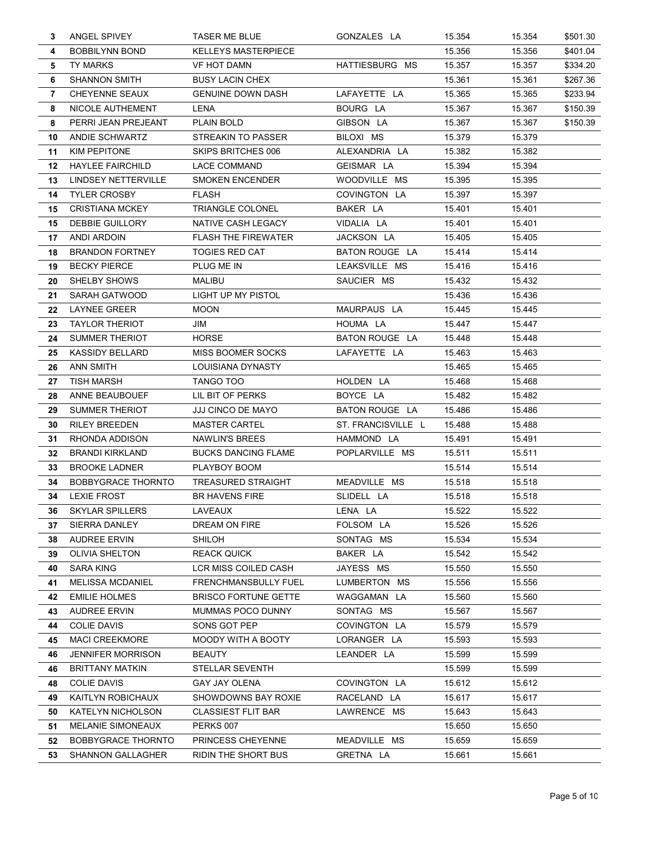| 3  | ANGEL SPIVEY              | <b>TASER ME BLUE</b>        | GONZALES LA        | 15.354 | 15.354 | \$501.30 |
|----|---------------------------|-----------------------------|--------------------|--------|--------|----------|
| 4  | <b>BOBBILYNN BOND</b>     | <b>KELLEYS MASTERPIECE</b>  |                    | 15.356 | 15.356 | \$401.04 |
| 5  | <b>TY MARKS</b>           | <b>VF HOT DAMN</b>          | HATTIESBURG MS     | 15.357 | 15.357 | \$334.20 |
| 6  | <b>SHANNON SMITH</b>      | <b>BUSY LACIN CHEX</b>      |                    | 15.361 | 15.361 | \$267.36 |
| 7  | <b>CHEYENNE SEAUX</b>     | <b>GENUINE DOWN DASH</b>    | LAFAYETTE LA       | 15.365 | 15.365 | \$233.94 |
| 8  | NICOLE AUTHEMENT          | LENA                        | BOURG LA           | 15.367 | 15.367 | \$150.39 |
| 8  | PERRI JEAN PREJEANT       | PLAIN BOLD                  | GIBSON LA          | 15.367 | 15.367 | \$150.39 |
| 10 | ANDIE SCHWARTZ            | <b>STREAKIN TO PASSER</b>   | BILOXI MS          | 15.379 | 15.379 |          |
| 11 | KIM PEPITONE              | SKIPS BRITCHES 006          | ALEXANDRIA LA      | 15.382 | 15.382 |          |
| 12 | <b>HAYLEE FAIRCHILD</b>   | LACE COMMAND                | GEISMAR LA         | 15.394 | 15.394 |          |
| 13 | LINDSEY NETTERVILLE       | <b>SMOKEN ENCENDER</b>      | WOODVILLE MS       | 15.395 | 15.395 |          |
| 14 | <b>TYLER CROSBY</b>       | <b>FLASH</b>                | COVINGTON LA       | 15.397 | 15.397 |          |
| 15 | <b>CRISTIANA MCKEY</b>    | <b>TRIANGLE COLONEL</b>     | BAKER LA           | 15.401 | 15.401 |          |
| 15 | DEBBIE GUILLORY           | NATIVE CASH LEGACY          | VIDALIA LA         | 15.401 | 15.401 |          |
| 17 | ANDI ARDOIN               | <b>FLASH THE FIREWATER</b>  | JACKSON LA         | 15.405 | 15.405 |          |
| 18 | <b>BRANDON FORTNEY</b>    | <b>TOGIES RED CAT</b>       | BATON ROUGE LA     | 15.414 | 15.414 |          |
| 19 | <b>BECKY PIERCE</b>       | PLUG ME IN                  | LEAKSVILLE MS      | 15.416 | 15.416 |          |
| 20 | <b>SHELBY SHOWS</b>       | MALIBU                      | SAUCIER MS         | 15.432 | 15.432 |          |
| 21 | SARAH GATWOOD             | LIGHT UP MY PISTOL          |                    | 15.436 | 15.436 |          |
| 22 | LAYNEE GREER              | <b>MOON</b>                 | MAURPAUS LA        | 15.445 | 15.445 |          |
| 23 | <b>TAYLOR THERIOT</b>     | JIM                         | HOUMA LA           | 15.447 | 15.447 |          |
| 24 | SUMMER THERIOT            | <b>HORSE</b>                | BATON ROUGE LA     | 15.448 | 15.448 |          |
| 25 | KASSIDY BELLARD           | <b>MISS BOOMER SOCKS</b>    | LAFAYETTE LA       | 15.463 | 15.463 |          |
| 26 | <b>ANN SMITH</b>          | LOUISIANA DYNASTY           |                    | 15.465 | 15.465 |          |
| 27 | <b>TISH MARSH</b>         | TANGO TOO                   | HOLDEN LA          | 15.468 | 15.468 |          |
| 28 | ANNE BEAUBOUEF            | LIL BIT OF PERKS            | BOYCE LA           | 15.482 | 15.482 |          |
| 29 | SUMMER THERIOT            | JJJ CINCO DE MAYO           | BATON ROUGE LA     | 15.486 | 15.486 |          |
| 30 | <b>RILEY BREEDEN</b>      | <b>MASTER CARTEL</b>        | ST. FRANCISVILLE L | 15.488 | 15.488 |          |
| 31 | RHONDA ADDISON            | NAWLIN'S BREES              | HAMMOND LA         | 15.491 | 15.491 |          |
| 32 | <b>BRANDI KIRKLAND</b>    | <b>BUCKS DANCING FLAME</b>  | POPLARVILLE MS     | 15.511 | 15.511 |          |
| 33 | <b>BROOKE LADNER</b>      | PLAYBOY BOOM                |                    | 15.514 | 15.514 |          |
| 34 | <b>BOBBYGRACE THORNTO</b> | <b>TREASURED STRAIGHT</b>   | MEADVILLE MS       | 15.518 | 15.518 |          |
| 34 | <b>LEXIE FROST</b>        | <b>BR HAVENS FIRE</b>       | SLIDELL LA         | 15.518 | 15.518 |          |
| კხ | SKYLAR SPILLERS           | LAVEAUX                     | LENA LA            | 15.522 | 15.522 |          |
| 37 | SIERRA DANLEY             | DREAM ON FIRE               | FOLSOM LA          | 15.526 | 15.526 |          |
| 38 | <b>AUDREE ERVIN</b>       | <b>SHILOH</b>               | SONTAG MS          | 15.534 | 15.534 |          |
| 39 | <b>OLIVIA SHELTON</b>     | <b>REACK QUICK</b>          | BAKER LA           | 15.542 | 15.542 |          |
| 40 | <b>SARA KING</b>          | <b>LCR MISS COILED CASH</b> | JAYESS MS          | 15.550 | 15.550 |          |
| 41 | <b>MELISSA MCDANIEL</b>   | FRENCHMANSBULLY FUEL        | LUMBERTON MS       | 15.556 | 15.556 |          |
| 42 | <b>EMILIE HOLMES</b>      | <b>BRISCO FORTUNE GETTE</b> | WAGGAMAN LA        | 15.560 | 15.560 |          |
| 43 | <b>AUDREE ERVIN</b>       | MUMMAS POCO DUNNY           | SONTAG MS          | 15.567 | 15.567 |          |
| 44 | <b>COLIE DAVIS</b>        | SONS GOT PEP                | COVINGTON LA       | 15.579 | 15.579 |          |
| 45 | <b>MACI CREEKMORE</b>     | MOODY WITH A BOOTY          | LORANGER LA        | 15.593 | 15.593 |          |
| 46 | <b>JENNIFER MORRISON</b>  | <b>BEAUTY</b>               | LEANDER LA         | 15.599 | 15.599 |          |
| 46 | <b>BRITTANY MATKIN</b>    | STELLAR SEVENTH             |                    | 15.599 | 15.599 |          |
| 48 | <b>COLIE DAVIS</b>        | <b>GAY JAY OLENA</b>        | COVINGTON LA       | 15.612 | 15.612 |          |
| 49 | KAITLYN ROBICHAUX         | SHOWDOWNS BAY ROXIE         | RACELAND LA        | 15.617 | 15.617 |          |
| 50 | <b>KATELYN NICHOLSON</b>  | <b>CLASSIEST FLIT BAR</b>   | LAWRENCE MS        | 15.643 | 15.643 |          |
| 51 | <b>MELANIE SIMONEAUX</b>  | PERKS 007                   |                    | 15.650 | 15.650 |          |
| 52 | <b>BOBBYGRACE THORNTO</b> | <b>PRINCESS CHEYENNE</b>    | MEADVILLE MS       | 15.659 | 15.659 |          |
| 53 | <b>SHANNON GALLAGHER</b>  | <b>RIDIN THE SHORT BUS</b>  | GRETNA LA          | 15.661 | 15.661 |          |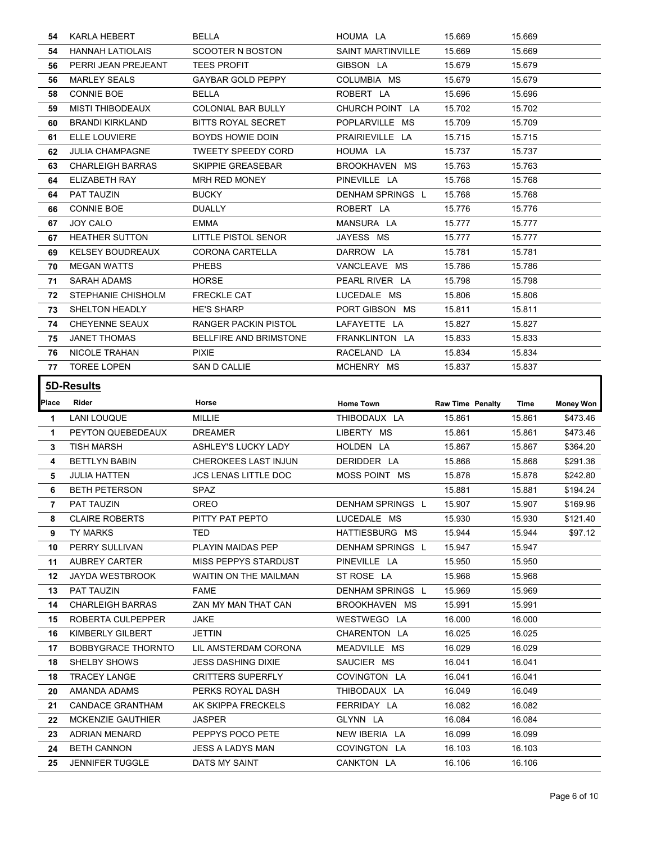| 54    | <b>KARLA HEBERT</b>       | <b>BELLA</b>                           | HOUMA LA                 | 15.669                  | 15.669 |           |
|-------|---------------------------|----------------------------------------|--------------------------|-------------------------|--------|-----------|
| 54    | <b>HANNAH LATIOLAIS</b>   | SCOOTER N BOSTON                       | <b>SAINT MARTINVILLE</b> | 15.669                  | 15.669 |           |
| 56.   | PERRI JEAN PREJEANT       | <b>TEES PROFIT</b>                     | GIBSON LA                | 15.679                  | 15.679 |           |
| 56    | <b>MARLEY SEALS</b>       | <b>GAYBAR GOLD PEPPY</b>               | COLUMBIA MS              | 15.679                  | 15.679 |           |
| 58    | <b>CONNIE BOE</b>         | <b>BELLA</b>                           | ROBERT LA                | 15.696                  | 15.696 |           |
| 59    | <b>MISTI THIBODEAUX</b>   | <b>COLONIAL BAR BULLY</b>              | CHURCH POINT LA          | 15.702                  | 15.702 |           |
| 60.   | <b>BRANDI KIRKLAND</b>    | <b>BITTS ROYAL SECRET</b>              | POPLARVILLE MS           | 15.709                  | 15.709 |           |
| 61    | ELLE LOUVIERE             | BOYDS HOWIE DOIN                       | PRAIRIEVILLE LA          | 15.715                  | 15.715 |           |
| 62.   | <b>JULIA CHAMPAGNE</b>    | <b>TWEETY SPEEDY CORD</b>              | HOUMA LA                 | 15.737                  | 15.737 |           |
| 63.   | <b>CHARLEIGH BARRAS</b>   | SKIPPIE GREASEBAR                      | BROOKHAVEN MS            | 15.763                  | 15.763 |           |
| 64.   | ELIZABETH RAY             | <b>MRH RED MONEY</b>                   | PINEVILLE LA             | 15.768                  | 15.768 |           |
| 64    | PAT TAUZIN                | <b>BUCKY</b>                           | DENHAM SPRINGS L         | 15.768                  | 15.768 |           |
| 66    | <b>CONNIE BOE</b>         | <b>DUALLY</b>                          | ROBERT LA                | 15.776                  | 15.776 |           |
| 67    | JOY CALO                  | <b>EMMA</b>                            | MANSURA LA               | 15.777                  | 15.777 |           |
| 67    | <b>HEATHER SUTTON</b>     | LITTLE PISTOL SENOR                    | JAYESS MS                | 15.777                  | 15.777 |           |
|       |                           |                                        |                          |                         |        |           |
| 69    | <b>KELSEY BOUDREAUX</b>   | <b>CORONA CARTELLA</b><br><b>PHEBS</b> | DARROW LA                | 15.781                  | 15.781 |           |
| 70    | <b>MEGAN WATTS</b>        |                                        | VANCLEAVE MS             | 15.786                  | 15.786 |           |
| 71    | <b>SARAH ADAMS</b>        | <b>HORSE</b>                           | PEARL RIVER LA           | 15.798                  | 15.798 |           |
| 72    | STEPHANIE CHISHOLM        | <b>FRECKLE CAT</b>                     | LUCEDALE MS              | 15.806                  | 15.806 |           |
| 73    | SHELTON HEADLY            | <b>HE'S SHARP</b>                      | PORT GIBSON MS           | 15.811                  | 15.811 |           |
| 74    | <b>CHEYENNE SEAUX</b>     | RANGER PACKIN PISTOL                   | LAFAYETTE LA             | 15.827                  | 15.827 |           |
| 75    | <b>JANET THOMAS</b>       | <b>BELLFIRE AND BRIMSTONE</b>          | FRANKLINTON LA           | 15.833                  | 15.833 |           |
| 76    | NICOLE TRAHAN             | <b>PIXIE</b>                           | RACELAND LA              | 15.834                  | 15.834 |           |
| 77    | <b>TOREE LOPEN</b>        | SAN D CALLIE                           | MCHENRY MS               | 15.837                  | 15.837 |           |
|       |                           |                                        |                          |                         |        |           |
|       |                           |                                        |                          |                         |        |           |
|       | 5D-Results                |                                        |                          |                         |        |           |
| Place | Rider                     | Horse                                  | Home Town                | <b>Raw Time Penalty</b> | Time   | Money Won |
| 1.    | <b>LANI LOUQUE</b>        | <b>MILLIE</b>                          | THIBODAUX LA             | 15.861                  | 15.861 | \$473.46  |
| .1    | PEYTON QUEBEDEAUX         | <b>DREAMER</b>                         | LIBERTY MS               | 15.861                  | 15.861 | \$473.46  |
| 3     | <b>TISH MARSH</b>         | ASHLEY'S LUCKY LADY                    | HOLDEN LA                | 15.867                  | 15.867 | \$364.20  |
| 4     | <b>BETTLYN BABIN</b>      | <b>CHEROKEES LAST INJUN</b>            | DERIDDER LA              | 15.868                  | 15.868 | \$291.36  |
| 5.    | <b>JULIA HATTEN</b>       | <b>JCS LENAS LITTLE DOC</b>            | MOSS POINT MS            | 15.878                  | 15.878 | \$242.80  |
| 6     | <b>BETH PETERSON</b>      | SPAZ                                   |                          | 15.881                  | 15.881 | \$194.24  |
| 7     | <b>PAT TAUZIN</b>         | <b>OREO</b>                            | DENHAM SPRINGS L         | 15.907                  | 15.907 | \$169.96  |
| 8     | <b>CLAIRE ROBERTS</b>     | PITTY PAT PEPTO                        | LUCEDALE MS              | 15.930                  | 15.930 | \$121.40  |
| 9.    | TY MARKS                  | <b>TED</b>                             | HATTIESBURG MS           | 15.944                  | 15.944 | \$97.12   |
| 10    | PERRY SULLIVAN            | PLAYIN MAIDAS PEP                      | DENHAM SPRINGS L         | 15.947                  | 15.947 |           |
| 11    | AUBREY CARTER             | MISS PEPPYS STARDUST                   | PINEVILLE LA             | 15.950                  | 15.950 |           |
| 12    | <b>JAYDA WESTBROOK</b>    | <b>WAITIN ON THE MAILMAN</b>           | ST ROSE LA               | 15.968                  | 15.968 |           |
| 13    | PAT TAUZIN                | FAME                                   | DENHAM SPRINGS L         | 15.969                  | 15.969 |           |
| 14    | <b>CHARLEIGH BARRAS</b>   | ZAN MY MAN THAT CAN                    | BROOKHAVEN MS            | 15.991                  | 15.991 |           |
| 15    | ROBERTA CULPEPPER         | JAKE                                   | WESTWEGO LA              | 16.000                  | 16.000 |           |
|       |                           |                                        |                          |                         |        |           |
| 16    | KIMBERLY GILBERT          | JETTIN                                 | CHARENTON LA             | 16.025                  | 16.025 |           |
| 17    | <b>BOBBYGRACE THORNTO</b> | LIL AMSTERDAM CORONA                   | MEADVILLE MS             | 16.029                  | 16.029 |           |
| 18    | SHELBY SHOWS              | <b>JESS DASHING DIXIE</b>              | SAUCIER MS               | 16.041                  | 16.041 |           |
| 18    | <b>TRACEY LANGE</b>       | <b>CRITTERS SUPERFLY</b>               | COVINGTON LA             | 16.041                  | 16.041 |           |
| 20    | AMANDA ADAMS              | PERKS ROYAL DASH                       | THIBODAUX LA             | 16.049                  | 16.049 |           |
| 21    | CANDACE GRANTHAM          | AK SKIPPA FRECKELS                     | FERRIDAY LA              | 16.082                  | 16.082 |           |
| 22    | <b>MCKENZIE GAUTHIER</b>  | JASPER                                 | GLYNN LA                 | 16.084                  | 16.084 |           |
| 23    | <b>ADRIAN MENARD</b>      | PEPPYS POCO PETE                       | NEW IBERIA LA            | 16.099                  | 16.099 |           |
| 24    | <b>BETH CANNON</b>        | JESS A LADYS MAN                       | COVINGTON LA             | 16.103                  | 16.103 |           |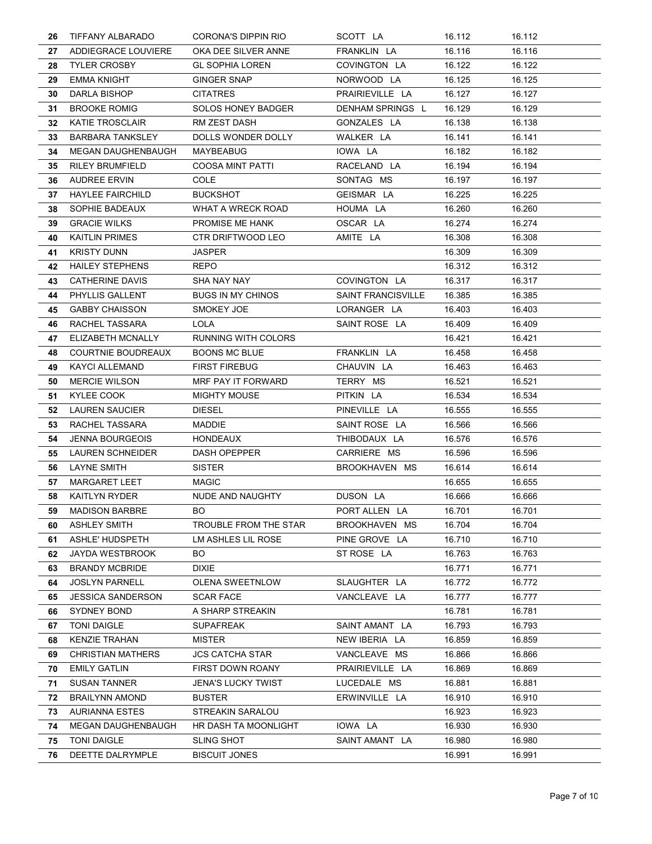| 26 | TIFFANY ALBARADO          | <b>CORONA'S DIPPIN RIO</b> | SCOTT LA                  | 16.112 | 16.112 |
|----|---------------------------|----------------------------|---------------------------|--------|--------|
| 27 | ADDIEGRACE LOUVIERE       | OKA DEE SILVER ANNE        | FRANKLIN LA               | 16.116 | 16.116 |
| 28 | <b>TYLER CROSBY</b>       | <b>GL SOPHIA LOREN</b>     | COVINGTON LA              | 16.122 | 16.122 |
| 29 | <b>EMMA KNIGHT</b>        | <b>GINGER SNAP</b>         | NORWOOD LA                | 16.125 | 16.125 |
| 30 | DARLA BISHOP              | <b>CITATRES</b>            | PRAIRIEVILLE LA           | 16.127 | 16.127 |
| 31 | <b>BROOKE ROMIG</b>       | <b>SOLOS HONEY BADGER</b>  | DENHAM SPRINGS L          | 16.129 | 16.129 |
| 32 | <b>KATIE TROSCLAIR</b>    | RM ZEST DASH               | GONZALES LA               | 16.138 | 16.138 |
| 33 | <b>BARBARA TANKSLEY</b>   | DOLLS WONDER DOLLY         | WALKER LA                 | 16.141 | 16.141 |
| 34 | <b>MEGAN DAUGHENBAUGH</b> | MAYBEABUG                  | IOWA LA                   | 16.182 | 16.182 |
| 35 | <b>RILEY BRUMFIELD</b>    | <b>COOSA MINT PATTI</b>    | RACELAND LA               | 16.194 | 16.194 |
| 36 | <b>AUDREE ERVIN</b>       | <b>COLE</b>                | SONTAG MS                 | 16.197 | 16.197 |
| 37 | <b>HAYLEE FAIRCHILD</b>   | <b>BUCKSHOT</b>            | GEISMAR LA                | 16.225 | 16.225 |
| 38 | SOPHIE BADEAUX            | <b>WHAT A WRECK ROAD</b>   | HOUMA LA                  | 16.260 | 16.260 |
| 39 | <b>GRACIE WILKS</b>       | PROMISE ME HANK            | OSCAR LA                  | 16.274 | 16.274 |
| 40 | <b>KAITLIN PRIMES</b>     | CTR DRIFTWOOD LEO          | AMITE LA                  | 16.308 | 16.308 |
| 41 | <b>KRISTY DUNN</b>        | JASPER                     |                           | 16.309 | 16.309 |
| 42 | <b>HAILEY STEPHENS</b>    | REPO                       |                           | 16.312 | 16.312 |
| 43 | CATHERINE DAVIS           | SHA NAY NAY                | COVINGTON LA              | 16.317 | 16.317 |
| 44 | PHYLLIS GALLENT           | <b>BUGS IN MY CHINOS</b>   | <b>SAINT FRANCISVILLE</b> | 16.385 | 16.385 |
| 45 | <b>GABBY CHAISSON</b>     | SMOKEY JOE                 | LORANGER LA               | 16.403 | 16.403 |
| 46 | RACHEL TASSARA            | LOLA                       | SAINT ROSE LA             | 16.409 | 16.409 |
| 47 | ELIZABETH MCNALLY         | RUNNING WITH COLORS        |                           | 16.421 | 16.421 |
| 48 | <b>COURTNIE BOUDREAUX</b> | <b>BOONS MC BLUE</b>       | FRANKLIN LA               | 16.458 | 16.458 |
| 49 | <b>KAYCI ALLEMAND</b>     | <b>FIRST FIREBUG</b>       | CHAUVIN LA                | 16.463 | 16.463 |
| 50 | <b>MERCIE WILSON</b>      | MRF PAY IT FORWARD         | TERRY MS                  | 16.521 | 16.521 |
| 51 | KYLEE COOK                | <b>MIGHTY MOUSE</b>        | PITKIN LA                 | 16.534 | 16.534 |
| 52 | <b>LAUREN SAUCIER</b>     | <b>DIESEL</b>              | PINEVILLE LA              | 16.555 | 16.555 |
| 53 | RACHEL TASSARA            | <b>MADDIE</b>              | SAINT ROSE LA             | 16.566 | 16.566 |
| 54 | <b>JENNA BOURGEOIS</b>    | <b>HONDEAUX</b>            | THIBODAUX LA              | 16.576 | 16.576 |
| 55 | LAUREN SCHNEIDER          | <b>DASH OPEPPER</b>        | CARRIERE MS               | 16.596 | 16.596 |
| 56 | <b>LAYNE SMITH</b>        | <b>SISTER</b>              | BROOKHAVEN MS             | 16.614 | 16.614 |
| 57 | <b>MARGARET LEET</b>      | <b>MAGIC</b>               |                           | 16.655 | 16.655 |
| 58 | <b>KAITLYN RYDER</b>      | NUDE AND NAUGHTY           | DUSON LA                  | 16.666 | 16.666 |
| 59 | <b>MADISON BARBRE</b>     | BO                         | PORT ALLEN LA             | 16.701 | 16.701 |
| 60 | <b>ASHLEY SMITH</b>       | TROUBLE FROM THE STAR      | BROOKHAVEN MS             | 16.704 | 16.704 |
| 61 | ASHLE' HUDSPETH           | LM ASHLES LIL ROSE         | PINE GROVE LA             | 16.710 | 16.710 |
| 62 | JAYDA WESTBROOK           | <b>BO</b>                  | ST ROSE LA                | 16.763 | 16.763 |
| 63 | <b>BRANDY MCBRIDE</b>     | <b>DIXIE</b>               |                           | 16.771 | 16.771 |
| 64 | <b>JOSLYN PARNELL</b>     | <b>OLENA SWEETNLOW</b>     | SLAUGHTER LA              | 16.772 | 16.772 |
| 65 | <b>JESSICA SANDERSON</b>  | <b>SCAR FACE</b>           | VANCLEAVE LA              | 16.777 | 16.777 |
| 66 | <b>SYDNEY BOND</b>        | A SHARP STREAKIN           |                           | 16.781 | 16.781 |
| 67 | <b>TONI DAIGLE</b>        | <b>SUPAFREAK</b>           | SAINT AMANT LA            | 16.793 | 16.793 |
| 68 | <b>KENZIE TRAHAN</b>      | MISTER                     | NEW IBERIA LA             | 16.859 | 16.859 |
| 69 | <b>CHRISTIAN MATHERS</b>  | <b>JCS CATCHA STAR</b>     | VANCLEAVE MS              | 16.866 | 16.866 |
| 70 | <b>EMILY GATLIN</b>       | FIRST DOWN ROANY           | PRAIRIEVILLE LA           | 16.869 | 16.869 |
| 71 | <b>SUSAN TANNER</b>       | <b>JENA'S LUCKY TWIST</b>  | LUCEDALE MS               | 16.881 | 16.881 |
| 72 | <b>BRAILYNN AMOND</b>     | <b>BUSTER</b>              | ERWINVILLE LA             | 16.910 | 16.910 |
| 73 | <b>AURIANNA ESTES</b>     | STREAKIN SARALOU           |                           | 16.923 | 16.923 |
| 74 | <b>MEGAN DAUGHENBAUGH</b> | HR DASH TA MOONLIGHT       | IOWA LA                   | 16.930 | 16.930 |
| 75 | <b>TONI DAIGLE</b>        | <b>SLING SHOT</b>          | SAINT AMANT LA            | 16.980 | 16.980 |
| 76 | DEETTE DALRYMPLE          | <b>BISCUIT JONES</b>       |                           | 16.991 | 16.991 |
|    |                           |                            |                           |        |        |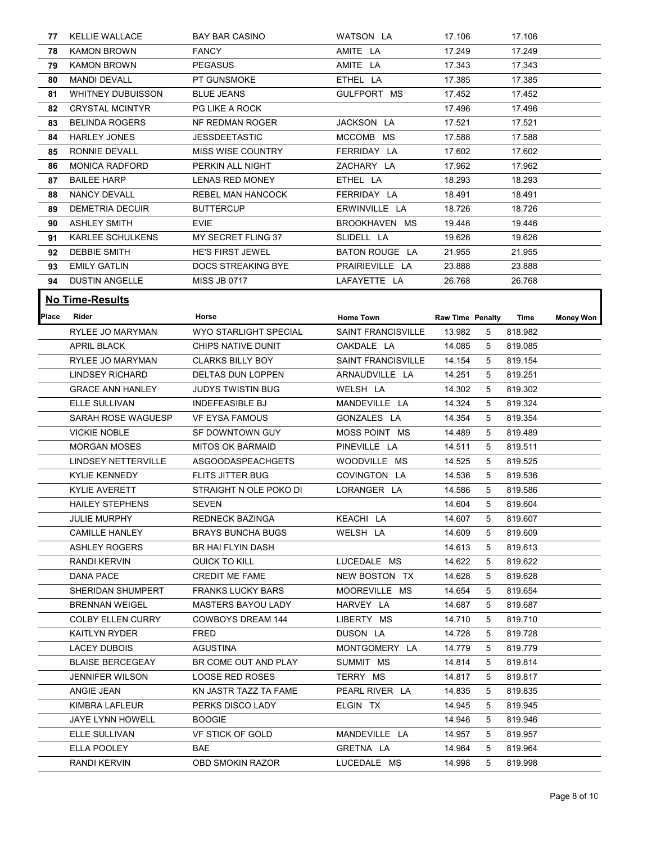| 77           | <b>KELLIE WALLACE</b>       | <b>BAY BAR CASINO</b>        | WATSON LA                 | 17.106                  |                 | 17.106  |                  |
|--------------|-----------------------------|------------------------------|---------------------------|-------------------------|-----------------|---------|------------------|
| 78.          | <b>KAMON BROWN</b>          | <b>FANCY</b>                 | AMITE LA                  | 17.249                  |                 | 17.249  |                  |
| 79           | <b>KAMON BROWN</b>          | <b>PEGASUS</b>               | AMITE LA                  | 17.343                  |                 | 17.343  |                  |
| 80           | <b>MANDI DEVALL</b>         | PT GUNSMOKE                  | ETHEL LA                  | 17.385                  |                 | 17.385  |                  |
| 81           | <b>WHITNEY DUBUISSON</b>    | <b>BLUE JEANS</b>            | GULFPORT MS               | 17.452                  |                 | 17.452  |                  |
| 82           | <b>CRYSTAL MCINTYR</b>      | PG LIKE A ROCK               |                           | 17.496                  |                 | 17.496  |                  |
| 83           | <b>BELINDA ROGERS</b>       | NF REDMAN ROGER              | JACKSON LA                | 17.521                  |                 | 17.521  |                  |
| 84           | <b>HARLEY JONES</b>         | JESSDEETASTIC                | MCCOMB MS                 | 17.588                  |                 | 17.588  |                  |
| 85           | RONNIE DEVALL               | <b>MISS WISE COUNTRY</b>     | FERRIDAY LA               | 17.602                  |                 | 17.602  |                  |
| 86           | <b>MONICA RADFORD</b>       | PERKIN ALL NIGHT             | ZACHARY LA                | 17.962                  |                 | 17.962  |                  |
| 87           | <b>BAILEE HARP</b>          | LENAS RED MONEY              | ETHEL LA                  | 18.293                  |                 | 18.293  |                  |
| 88           | <b>NANCY DEVALL</b>         | REBEL MAN HANCOCK            | FERRIDAY LA               | 18.491                  |                 | 18.491  |                  |
| 89           | DEMETRIA DECUIR             | <b>BUTTERCUP</b>             | ERWINVILLE LA             | 18.726                  |                 | 18.726  |                  |
| 90           | <b>ASHLEY SMITH</b>         | <b>EVIE</b>                  | BROOKHAVEN MS             | 19.446                  |                 | 19.446  |                  |
| 91           | <b>KARLEE SCHULKENS</b>     | MY SECRET FLING 37           | SLIDELL LA                | 19.626                  |                 | 19.626  |                  |
| 92           | <b>DEBBIE SMITH</b>         | HE'S FIRST JEWEL             | BATON ROUGE LA            | 21.955                  |                 | 21.955  |                  |
| 93           | <b>EMILY GATLIN</b>         | DOCS STREAKING BYE           | PRAIRIEVILLE LA           | 23.888                  |                 | 23.888  |                  |
| 94           | <b>DUSTIN ANGELLE</b>       | <b>MISS JB 0717</b>          | LAFAYETTE LA              | 26.768                  |                 | 26.768  |                  |
|              |                             |                              |                           |                         |                 |         |                  |
|              | <b>No Time-Results</b>      |                              |                           |                         |                 |         |                  |
| <b>Place</b> | Rider                       | Horse                        | Home Town                 | <b>Raw Time Penalty</b> |                 | Time    | <b>Money Won</b> |
|              | <b>RYLEE JO MARYMAN</b>     | <b>WYO STARLIGHT SPECIAL</b> | <b>SAINT FRANCISVILLE</b> | 13.982                  | $5\overline{)}$ | 818.982 |                  |
|              | <b>APRIL BLACK</b>          | CHIPS NATIVE DUNIT           | OAKDALE LA                | 14.085                  | - 5             | 819.085 |                  |
|              | RYLEE JO MARYMAN            | <b>CLARKS BILLY BOY</b>      | <b>SAINT FRANCISVILLE</b> | 14.154                  | - 5             | 819.154 |                  |
|              | LINDSEY RICHARD             | DELTAS DUN LOPPEN            | ARNAUDVILLE LA            | 14.251                  | 5               | 819.251 |                  |
|              | <b>GRACE ANN HANLEY</b>     | JUDYS TWISTIN BUG            | WELSH LA                  | 14.302                  | - 5             | 819.302 |                  |
|              | ELLE SULLIVAN               | <b>INDEFEASIBLE BJ</b>       | MANDEVILLE LA             | 14.324                  | 5               | 819.324 |                  |
|              | SARAH ROSE WAGUESP          | <b>VF EYSA FAMOUS</b>        | GONZALES LA               | 14.354                  | 5               | 819.354 |                  |
|              | <b>VICKIE NOBLE</b>         | SF DOWNTOWN GUY              | MOSS POINT MS             | 14.489                  | -5              | 819.489 |                  |
|              | <b>MORGAN MOSES</b>         | MITOS OK BARMAID             | PINEVILLE LA              | 14.511                  | - 5             | 819.511 |                  |
|              | LINDSEY NETTERVILLE         | ASGOODASPEACHGETS            | WOODVILLE MS              | 14.525                  | -5              | 819.525 |                  |
|              | <b>KYLIE KENNEDY</b>        | FLITS JITTER BUG             | COVINGTON LA              | 14.536                  | - 5             | 819.536 |                  |
|              | <b>KYLIE AVERETT</b>        | STRAIGHT N OLE POKO DI       | LORANGER LA               | 14.586                  | 5               | 819.586 |                  |
|              | <b>HAILEY STEPHENS</b>      | <b>SEVEN</b>                 |                           | 14.604                  | 5               | 819.604 |                  |
|              | JULIE MURPHY                | <b>REDNECK BAZINGA</b>       | KEACHI LA                 | 14.607                  | -5              | 819.607 |                  |
|              | <b>CAMILLE HANLEY</b>       | <b>BRAYS BUNCHA BUGS</b>     | WELSH LA                  | 14.609                  | 5               | 819.609 |                  |
|              | <b>ASHLEY ROGERS</b>        | <b>BR HAI FLYIN DASH</b>     |                           | 14.613                  | $5\phantom{.0}$ | 819.613 |                  |
|              | <b>RANDI KERVIN</b>         | QUICK TO KILL                | LUCEDALE MS               | 14.622 5                |                 | 819.622 |                  |
|              | <b>DANA PACE</b>            | <b>CREDIT ME FAME</b>        | NEW BOSTON TX             | 14.628                  | -5              | 819.628 |                  |
|              | SHERIDAN SHUMPERT           | <b>FRANKS LUCKY BARS</b>     | MOOREVILLE MS             | 14.654                  | -5              | 819.654 |                  |
|              | <b>BRENNAN WEIGEL</b>       | <b>MASTERS BAYOU LADY</b>    | HARVEY LA                 | 14.687                  | 5               | 819.687 |                  |
|              | COLBY ELLEN CURRY           | <b>COWBOYS DREAM 144</b>     | LIBERTY MS                | 14.710                  | - 5             | 819.710 |                  |
|              | KAITLYN RYDER               | <b>FRED</b>                  | DUSON LA                  | 14.728                  | - 5             | 819.728 |                  |
|              | <b>LACEY DUBOIS</b>         | <b>AGUSTINA</b>              | MONTGOMERY LA             | 14.779                  | - 5             | 819.779 |                  |
|              | <b>BLAISE BERCEGEAY</b>     | BR COME OUT AND PLAY         | SUMMIT MS                 | 14.814                  | -5              | 819.814 |                  |
|              | JENNIFER WILSON             | LOOSE RED ROSES              | TERRY MS                  | 14.817                  | - 5             | 819.817 |                  |
|              | ANGIE JEAN                  | KN JASTR TAZZ TA FAME        | PEARL RIVER LA            | 14.835                  | -5              | 819.835 |                  |
|              | KIMBRA LAFLEUR              | PERKS DISCO LADY             | ELGIN TX                  |                         | -5              | 819.945 |                  |
|              |                             |                              |                           | 14.945                  |                 |         |                  |
|              | JAYE LYNN HOWELL            | <b>BOOGIE</b>                |                           | 14.946                  | 5               | 819.946 |                  |
|              | ELLE SULLIVAN               | VF STICK OF GOLD             | MANDEVILLE LA             | 14.957                  | - 5             | 819.957 |                  |
|              | ELLA POOLEY<br>RANDI KERVIN | BAE                          | GRETNA LA                 | 14.964                  | 5               | 819.964 |                  |
|              |                             | OBD SMOKIN RAZOR             | LUCEDALE MS               | 14.998                  | 5               | 819.998 |                  |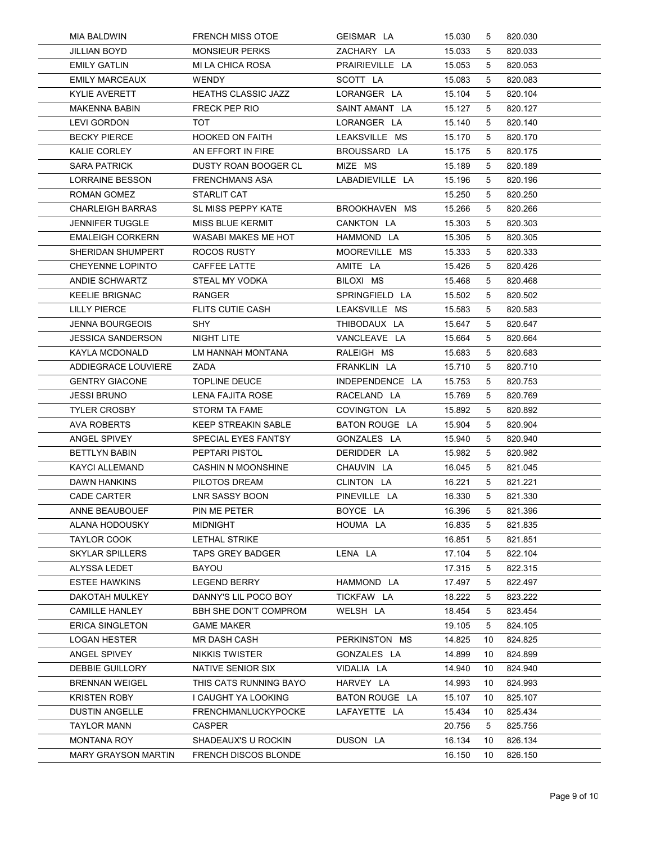| MIA BALDWIN                                   | <b>FRENCH MISS OTOE</b>                     | GEISMAR LA                    | 15.030           | 5       | 820.030            |  |
|-----------------------------------------------|---------------------------------------------|-------------------------------|------------------|---------|--------------------|--|
| <b>JILLIAN BOYD</b>                           | <b>MONSIEUR PERKS</b>                       | ZACHARY LA                    | 15.033           | 5       | 820.033            |  |
| <b>EMILY GATLIN</b>                           | MI LA CHICA ROSA                            | PRAIRIEVILLE LA               | 15.053           | 5       | 820.053            |  |
| <b>EMILY MARCEAUX</b>                         | WENDY                                       | SCOTT LA                      | 15.083           | 5       | 820.083            |  |
| <b>KYLIE AVERETT</b>                          | <b>HEATHS CLASSIC JAZZ</b>                  | LORANGER LA                   | 15.104           | 5       | 820.104            |  |
| <b>MAKENNA BABIN</b><br>LEVI GORDON           | FRECK PEP RIO<br><b>TOT</b>                 | SAINT AMANT LA<br>LORANGER LA | 15.127<br>15.140 | 5<br>5  | 820.127<br>820.140 |  |
| <b>BECKY PIERCE</b>                           | <b>HOOKED ON FAITH</b>                      | LEAKSVILLE MS                 | 15.170           | 5       | 820.170            |  |
| KALIE CORLEY                                  | AN EFFORT IN FIRE                           | BROUSSARD LA                  | 15.175           | 5       | 820.175            |  |
| <b>SARA PATRICK</b>                           | DUSTY ROAN BOOGER CL                        | MIZE MS                       | 15.189           | 5       | 820.189            |  |
| LORRAINE BESSON                               | <b>FRENCHMANS ASA</b>                       | LABADIEVILLE LA               | 15.196           | 5       | 820.196            |  |
| ROMAN GOMEZ                                   | STARLIT CAT                                 |                               | 15.250           | 5       | 820.250            |  |
| <b>CHARLEIGH BARRAS</b>                       | SL MISS PEPPY KATE                          | BROOKHAVEN MS                 | 15.266           | 5       | 820.266            |  |
| JENNIFER TUGGLE                               | <b>MISS BLUE KERMIT</b>                     | CANKTON LA                    | 15.303           | 5       | 820.303            |  |
| <b>EMALEIGH CORKERN</b>                       | <b>WASABI MAKES ME HOT</b>                  | HAMMOND LA                    | 15.305           | 5       | 820.305            |  |
| SHERIDAN SHUMPERT                             | ROCOS RUSTY                                 | MOOREVILLE MS                 | 15.333           | 5       | 820.333            |  |
| <b>CHEYENNE LOPINTO</b><br>ANDIE SCHWARTZ     | CAFFEE LATTE                                | AMITE LA<br>BILOXI MS         | 15.426           | 5<br>5  | 820.426<br>820.468 |  |
| <b>KEELIE BRIGNAC</b>                         | STEAL MY VODKA<br><b>RANGER</b>             | SPRINGFIELD LA                | 15.468<br>15.502 | 5       | 820.502            |  |
| <b>LILLY PIERCE</b>                           | <b>FLITS CUTIE CASH</b>                     | LEAKSVILLE MS                 | 15.583           | 5       | 820.583            |  |
| <b>JENNA BOURGEOIS</b>                        | <b>SHY</b>                                  | THIBODAUX LA                  | 15.647           | 5       | 820.647            |  |
| <b>JESSICA SANDERSON</b>                      | NIGHT LITE                                  | VANCLEAVE LA                  | 15.664           | 5       | 820.664            |  |
| KAYLA MCDONALD                                | LM HANNAH MONTANA                           | RALEIGH MS                    | 15.683           | 5       | 820.683            |  |
| ADDIEGRACE LOUVIERE                           | ZADA                                        | FRANKLIN LA                   | 15.710           | 5       | 820.710            |  |
| <b>GENTRY GIACONE</b>                         | <b>TOPLINE DEUCE</b>                        | INDEPENDENCE LA               | 15.753           | 5       | 820.753            |  |
| <b>JESSI BRUNO</b>                            | LENA FAJITA ROSE                            | RACELAND LA                   | 15.769           | 5       | 820.769            |  |
| <b>TYLER CROSBY</b>                           | <b>STORM TA FAME</b>                        | COVINGTON LA                  | 15.892           | 5       | 820.892            |  |
| <b>AVA ROBERTS</b>                            | <b>KEEP STREAKIN SABLE</b>                  | BATON ROUGE LA                | 15.904           | 5       | 820.904            |  |
| ANGEL SPIVEY                                  | SPECIAL EYES FANTSY                         | GONZALES LA                   | 15.940           | 5       | 820.940            |  |
| <b>BETTLYN BABIN</b><br><b>KAYCI ALLEMAND</b> | PEPTARI PISTOL<br><b>CASHIN N MOONSHINE</b> | DERIDDER LA<br>CHAUVIN LA     | 15.982<br>16.045 | 5<br>5  | 820.982<br>821.045 |  |
| DAWN HANKINS                                  | PILOTOS DREAM                               | CLINTON LA                    | 16.221           | 5       | 821.221            |  |
| CADE CARTER                                   | LNR SASSY BOON                              | PINEVILLE LA                  | 16.330           | 5       | 821.330            |  |
| ANNE BEAUBOUEF                                | PIN ME PETER                                | BOYCE LA                      | 16.396           | 5       | 821.396            |  |
| ALANA HODOUSKY                                | <b>MIDNIGHT</b>                             | HOUMA LA                      | 16.835           | 5       | 821.835            |  |
| <b>TAYLOR COOK</b>                            | LETHAL STRIKE                               |                               | 16.851           | 5       | 821.851            |  |
| <b>SKYLAR SPILLERS</b>                        | <b>TAPS GREY BADGER</b>                     | LENA LA                       | 17.104           | 5       | 822.104            |  |
| ALYSSA LEDET                                  | <b>BAYOU</b>                                |                               | 17.315           | 5       | 822.315            |  |
| <b>ESTEE HAWKINS</b>                          | <b>LEGEND BERRY</b>                         | HAMMOND LA                    | 17.497           | 5       | 822.497            |  |
| DAKOTAH MULKEY                                | DANNY'S LIL POCO BOY                        | TICKFAW LA                    | 18.222           | 5       | 823.222            |  |
| <b>CAMILLE HANLEY</b>                         | BBH SHE DON'T COMPROM                       | WELSH LA                      | 18.454           | 5       | 823.454            |  |
| <b>ERICA SINGLETON</b><br><b>LOGAN HESTER</b> | <b>GAME MAKER</b><br>MR DASH CASH           | PERKINSTON MS                 | 19.105<br>14.825 | 5<br>10 | 824.105<br>824.825 |  |
| ANGEL SPIVEY                                  | <b>NIKKIS TWISTER</b>                       | GONZALES LA                   | 14.899           | 10      | 824.899            |  |
| DEBBIE GUILLORY                               | NATIVE SENIOR SIX                           | VIDALIA LA                    | 14.940           | 10      | 824.940            |  |
| <b>BRENNAN WEIGEL</b>                         | THIS CATS RUNNING BAYO                      | HARVEY LA                     | 14.993           | 10      | 824.993            |  |
| <b>KRISTEN ROBY</b>                           | I CAUGHT YA LOOKING                         | BATON ROUGE LA                | 15.107           | 10      | 825.107            |  |
| DUSTIN ANGELLE                                | FRENCHMANLUCKYPOCKE                         | LAFAYETTE LA                  | 15.434           | 10      | 825.434            |  |
| <b>TAYLOR MANN</b>                            | <b>CASPER</b>                               |                               | 20.756           | 5       | 825.756            |  |
| <b>MONTANA ROY</b>                            | SHADEAUX'S U ROCKIN                         | DUSON LA                      | 16.134           | 10      | 826.134            |  |
| <b>MARY GRAYSON MARTIN</b>                    | FRENCH DISCOS BLONDE                        |                               |                  |         |                    |  |